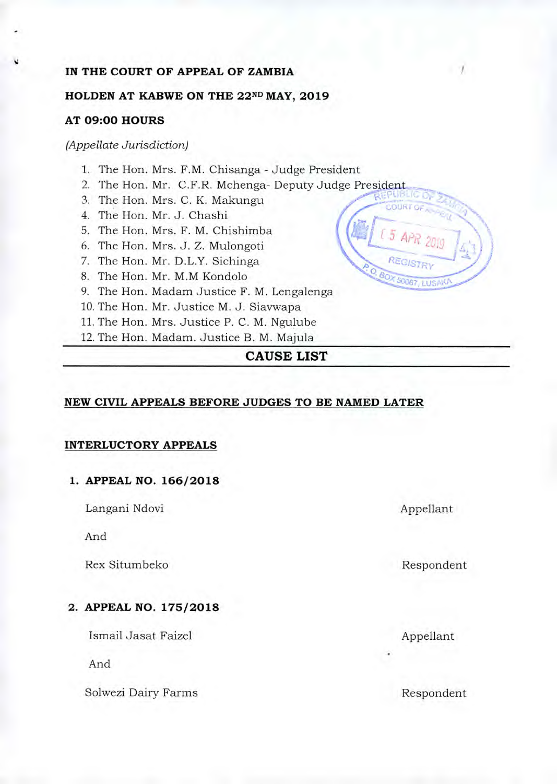## **IN THE COURT OF APPEAL OF ZAMBIA**

## **HOLDEN AT KABWE ON THE 22ND MAY, 2019**

#### **AT 09:00 HOURS**

## *(Appellate Jurisdiction)*

- 1. The Hon. Mrs. F.M. Chisanga Judge President
- 2. The Hon. Mr. C.F.R. Mchenga- Deputy Judge President
- 3. The Hon. Mrs. C. K. Makungu
- 4. The Hon. Mr. J. Chashi
- 5. The Hon. Mrs. F. M. Chishimba
- 6. The Hon. Mrs. J. Z. Mulongoti
- 7. The Hon. Mr. D.L.Y. Sichinga
- 8. The Hon. Mr. M.M Kondolo
- 9. The Hon. Madam Justice F. M. Lengalenga
- 10. The Hon. Mr. Justice M. J. Siavwapa
- 11. The Hon. Mrs. Justice P. C. M. Ngulube
- 12. The Hon. Madam. Justice B. M. Majula

# **CAUSE LIST**

#### **NEW CIVIL APPEALS BEFORE JUDGES TO BE NAMED LATER**

#### **INTERLUCTORY APPEALS**

## **1. APPEAL NO. 166/2018**

Langani Ndovi and a series and a series are a series and appellant

And

Rex Situmbeko Respondent

## **2. APPEAL NO. 175/2018**

Ismail Jasat Faizel **Appellant** 

And

Solwezi Dairy Farms Respondent

 $(5$  APR 2019

50067, LUSAKA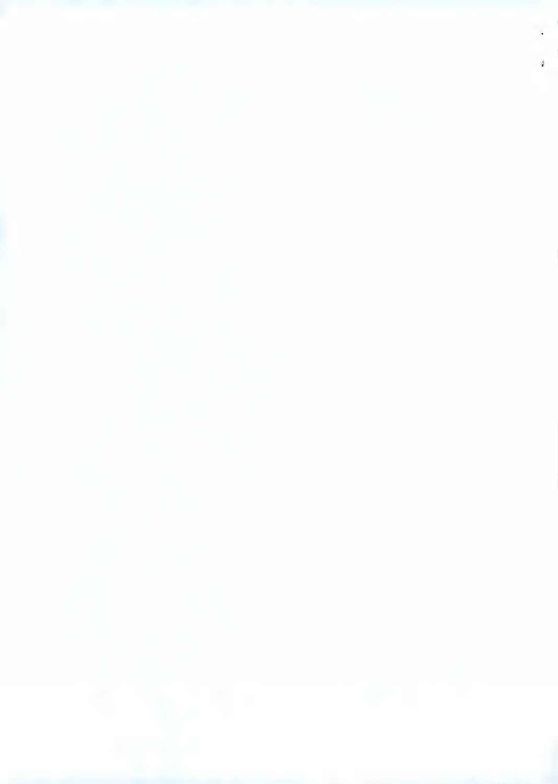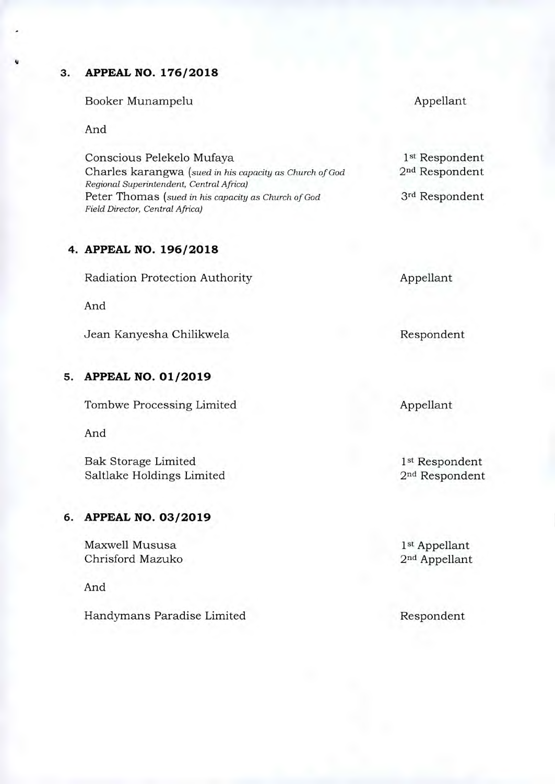# **3. APPEAL NO. 176/2018**

Booker Munampelu **Appellant** 

And

Conscious Pelekelo Mufaya 1st Respondent *Charles karangwa (sued in his capacity as Church of God* 2nd Respondent *Regional Superintendent, Central Africa)*  Peter Thomas (sued in his capacity as Church of God 3rd Respondent *Field Director, Central Africa)* 

# **4. APPEAL NO. 196/2018**

Radiation Protection Authority **Authority** Appellant

And

Jean Kanyesha Chilikwela **Respondent** 

## **5. APPEAL NO. 01/2019**

Tombwe Processing Limited Appellant

And

Bak Storage Limited 1st Respondent Saltlake Holdings Limited 2<sup>nd</sup> Respondent

#### **6. APPEAL NO. 03/2019**

Maxwell Mususa 1st Appellant Chrisford Mazuko 2<sup>nd</sup> Appellant

And

Handymans Paradise Limited Respondent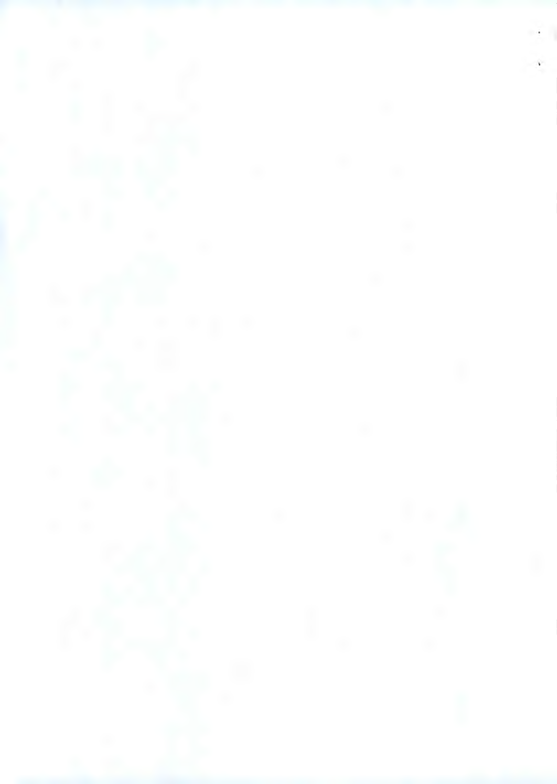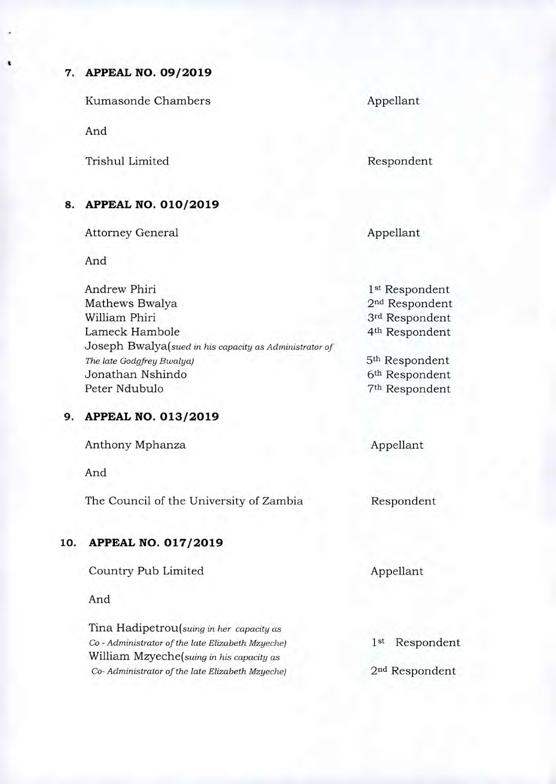## **7. APPEAL NO. 09/2019**

Kumasonde Chambers **Appellant** 

And

**I** 

Trishul Limited Respondent

## **8. APPEAL NO. 010/2019**

Attorney General and Appellant

And

Andrew Phiri Mathews Bwalya William Phiri Lameck Hambole *Joseph Bwalya(sued in his capacity as Administrator of The late Godgfrey Bwalya)*  Jonathan Nshindo Peter Ndubulo

### **9. APPEAL NO. 013/2019**

Anthony Mphanza

And

The Council of the University of Zambia

## **10. APPEAL NO. 017/2019**

Country Pub Limited

And

Tina Hadipetrou(suing *in her capacity as*  Co - Administrator of the late Elizabeth Mzyeche) 1st Respondent William Mzyeche(suing *in his capacity as Co- Administrator of the late Elizabeth Mzyeche)* 2nd Respondent

1st Respondent 2<sup>nd</sup> Respondent 3rd Respondent 4th Respondent

5th Respondent 6th Respondent 711, Respondent

Appellant

Respondent

Appellant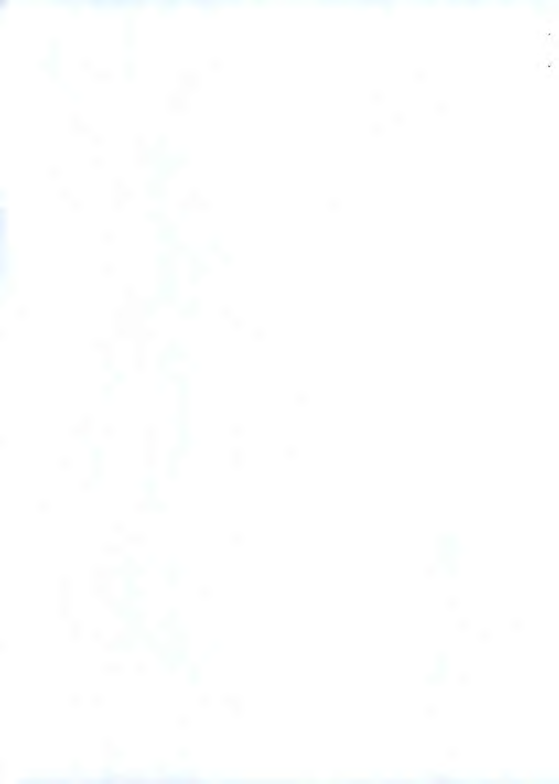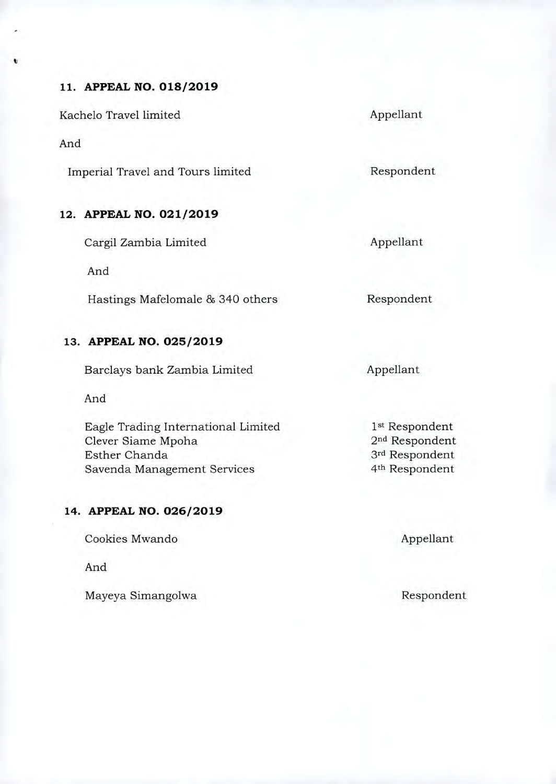# **11. APPEAL NO. 018/2019**

Kachelo Travel limited

And

Imperial Travel and Tours limited

# **12. APPEAL NO. 021/2019**

Cargil Zambia Limited

And

Hastings Mafelomale & 340 others

## **13. APPEAL NO. 025/2019**

Barclays bank Zambia Limited

## And

Eagle Trading International Limited Clever Siame Mpoha Esther Chanda Savenda Management Services

## **14. APPEAL NO. 026/2019**

Cookies Mwando **Appellant** 

And

Mayeya Simangolwa **Respondent** 

Appellant

Respondent

Appellant

Respondent

Appellant

1st Respondent 2nd Respondent 3rd Respondent 4<sup>th</sup> Respondent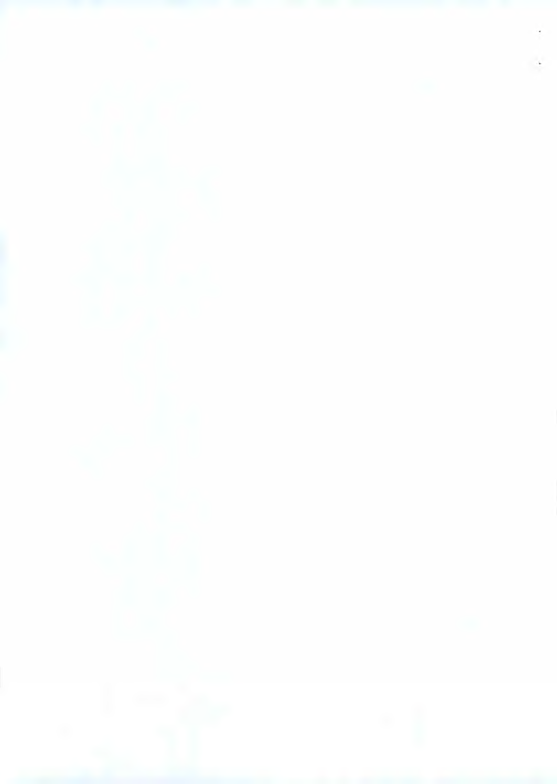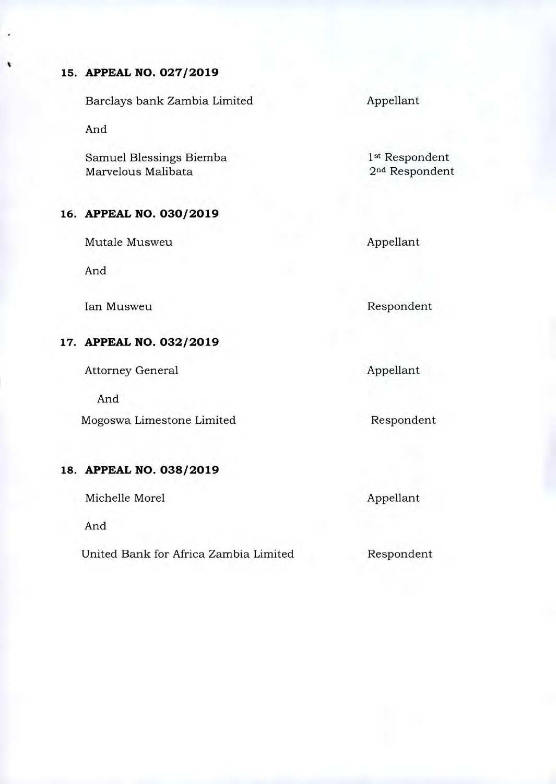# **15. APPEAL NO. 027/2019**

Barclays bank Zambia Limited Appellant

And

Samuel Blessings Biemba 18t Respondent Marvelous Malibata

# **16. APPEAL NO. 030/2019**

Mutale Musweu and Appellant

And

Ian Musweu Respondent

And

# **17. APPEAL NO. 032/2019**

Attorney General and a series of the Appellant

Mogoswa Limestone Limited **Respondent** 

# **18. APPEAL NO. 038/2019**

Michelle Morel **Appellant** 

And

United Bank for Africa Zambia Limited Respondent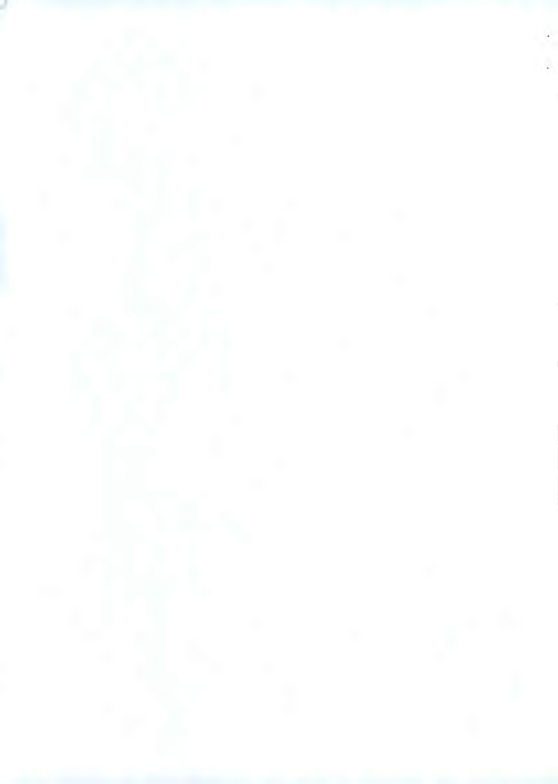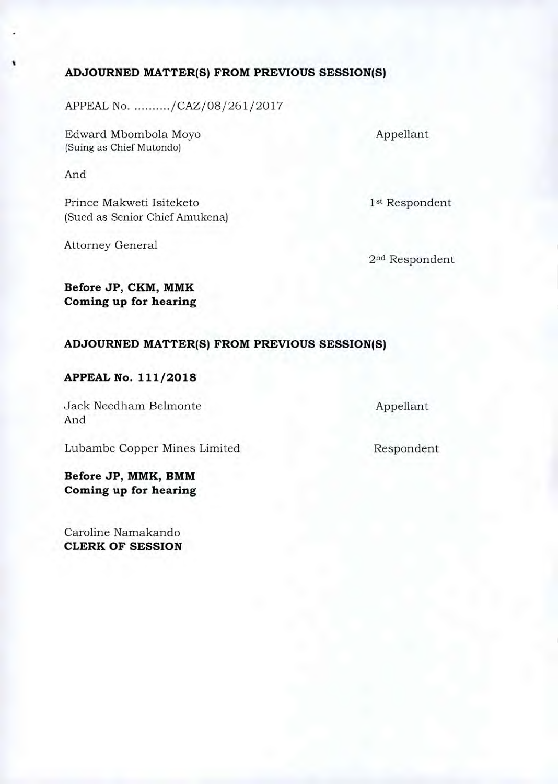## **ADJOURNED MATTER(S) FROM PREVIOUS SESSION(S)**

APPEAL No. ........./CAZ/08/261/2017

Edward Mbombola Moyo **Appellant** (Suing as Chief Mutondo)

And

**t** 

Prince Makweti Isiteketo 1st Respondent (Sued as Senior Chief Amukena)

Attorney General

2nd Respondent

**Before JP, CKM, MMK Coming up for hearing** 

# **ADJOURNED MATTER(S) FROM PREVIOUS SESSION(S)**

# **APPEAL No. 111/2018**

Jack Needham Belmonte **Appellant** And

Lubambe Copper Mines Limited Respondent

**Before JP, MMK, BMM Coming up for hearing** 

Caroline Namakando **CLERK OF SESSION**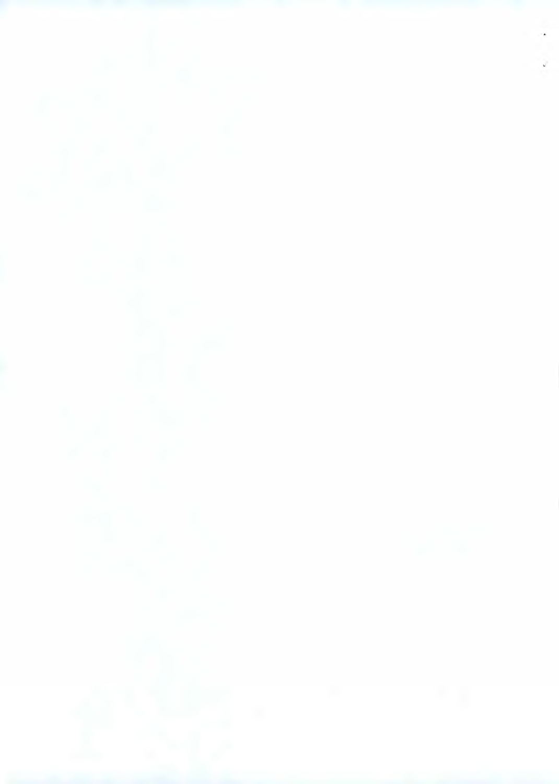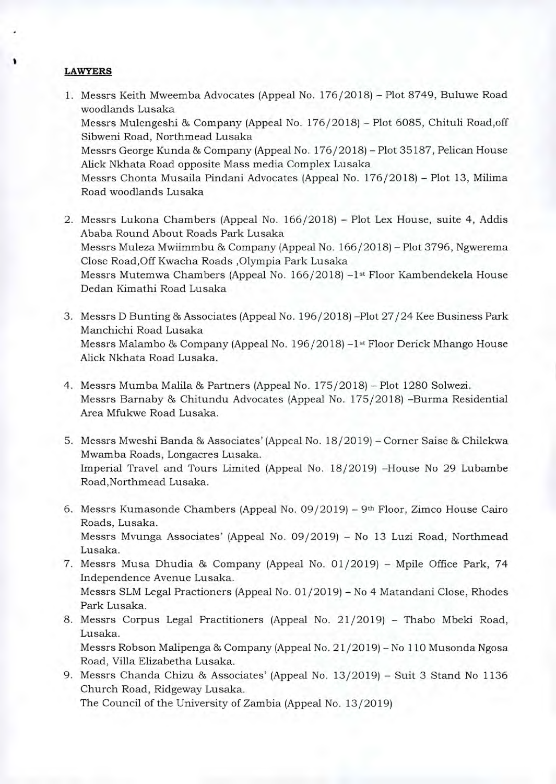#### **LAWYERS**

I

- 1. Messrs Keith Mweemba Advocates (Appeal No. 176/2018) Plot 8749, Buluwe Road woodlands Lusaka Messrs Mulengeshi & Company (Appeal No. 176/2018) - Plot 6085, Chituli Road,off Sibweni Road, Northmead Lusaka Messrs George Kunda & Company (Appeal No. 176/2018) - Plot 35187, Pelican House Alick Nkhata Road opposite Mass media Complex Lusaka Messrs Chonta Musaila Pindani Advocates (Appeal No. 176/2018) - Plot 13, Milima Road woodlands Lusaka
- 2. Messrs Lukona Chambers (Appeal No. 166/2018) Plot Lex House, suite 4, Addis Ababa Round About Roads Park Lusaka Messrs Muleza Mwiimmbu & Company (Appeal No. 166/2018) - Plot 3796, Ngwerema Close Road,Off Kwacha Roads ,Olympia Park Lusaka Messrs Mutemwa Chambers (Appeal No. 166/2018) -1st Floor Kambendekela House Dedan Kimathi Road Lusaka
- 3. Messrs D Bunting & Associates (Appeal No. 196/2018) -Plot 27/24 Kee Business Park Manchichi Road Lusaka Messrs Malambo & Company (Appeal No. 196/2018) -1st Floor Derick Mhango House Alick Nkhata Road Lusaka.
- 4. Messrs Mumba Malila & Partners (Appeal No. 175/2018) Plot 1280 Soiwezi. Messrs Barnaby & Chitundu Advocates (Appeal No. 175/2018) -Burma Residential Area Mfukwe Road Lusaka.
- 5. Messrs Mweshi Banda & Associates' (Appeal No. 18/2019) Corner Saise & Chilekwa Mwamba Roads, Longacres Lusaka. Imperial Travel and Tours Limited (Appeal No. 18/2019) -House No 29 Lubambe Road,Northmead Lusaka.
- 6. Messrs Kumasonde Chambers (Appeal No. 09/2019) 9th Floor, Zimco House Cairo Roads, Lusaka. Messrs Mvunga Associates' (Appeal No. 09/2019) - No 13 Luzi Road, Northmead Lusaka.
- 7. Messrs Musa Dhudia & Company (Appeal No. 01/2019) Mpile Office Park, 74 Independence Avenue Lusaka. Messrs SLM Legal Practioners (Appeal No. 01/2019) - No 4 Matandani Close, Rhodes Park Lusaka.
- 8. Messrs Corpus Legal Practitioners (Appeal No. 21/2019) Thabo Mbeki Road, Lusaka. Messrs Robson Malipenga & Company (Appeal No. 21/2019) - No 110 Musonda Ngosa Road, Villa Elizabetha Lusaka.
- 9. Messrs Chanda Chizu & Associates' (Appeal No. 13/2019) Suit 3 Stand No 1136 Church Road, Ridgeway Lusaka.

The Council of the University of Zambia (Appeal No. 13/2019)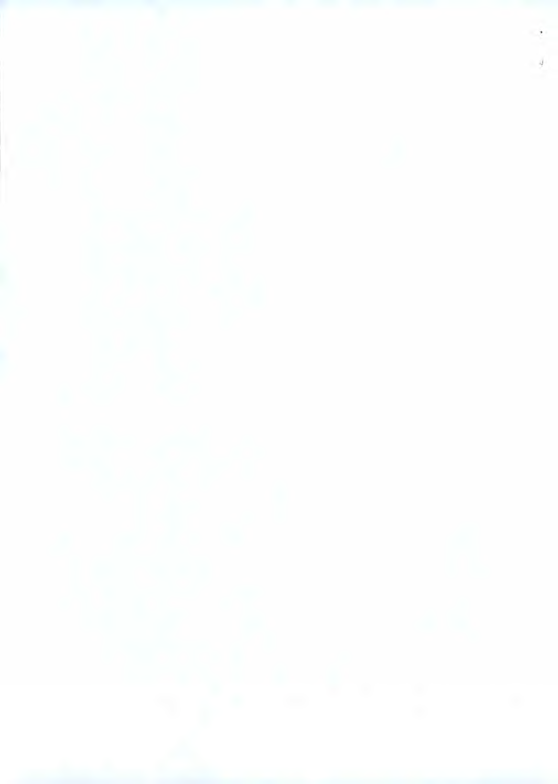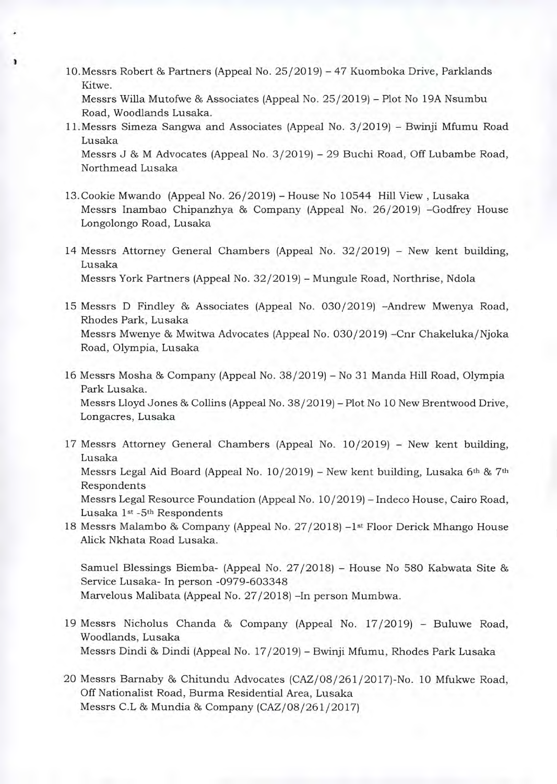10.Messrs Robert & Partners (Appeal No. 25/2019) - 47 Kuomboka Drive, Parklands Kitwe.

Messrs Willa Mutofwe & Associates (Appeal No. 25/2019) - Plot No 19A Nsumbu Road, Woodlands Lusaka.

11. Messrs Simeza Sangwa and Associates (Appeal No. 3/2019) - Bwinji Mfumu Road Lusaka

Messrs J & M Advocates (Appeal No. 3/2019) - 29 Buchi Road, Off Lubambe Road, Northmead Lusaka

- 13. Cookie Mwando (Appeal No. 26/20 19) House No 10544 Hill View, Lusaka Messrs Inambao Chipanzhya & Company (Appeal No. 26/2019) -Godfrey House Longolongo Road, Lusaka
- 14 Messrs Attorney General Chambers (Appeal No. 32/2019) New kent building, Lusaka Messrs York Partners (Appeal No. 32/2019) - Mungule Road, Northrise, Ndola
- 15 Messrs D Findley & Associates (Appeal No. 030/2019) -Andrew Mwenya Road, Rhodes Park, Lusaka Messrs Mwenye & Mwitwa Advocates (Appeal No. 030/2019) -Cnr Chakeluka/Njoka Road, Olympia, Lusaka
- 16 Messrs Mosha & Company (Appeal No. 38/2019) No 31 Manda Hill Road, Olympia Park Lusaka. Messrs Lloyd Jones & Collins (Appeal No. 38/2019) - Plot No 10 New Brentwood Drive, Longacres, Lusaka
- 17 Messrs Attorney General Chambers (Appeal No. 10/2019) New kent building, Lusaka Messrs Legal Aid Board (Appeal No. 10/2019) - New kent building, Lusaka 6th &, 7th Respondents Messrs Legal Resource Foundation (Appeal No. 10/2019) - Indeco House, Cairo Road, Lusaka 1st -5<sup>th</sup> Respondents
- 18 Messrs Malambo & Company (Appeal No. 27/2018) -1st Floor Derick Mhango House Alick Nkhata Road Lusaka.

Samuel Blessings Biemba- (Appeal No. 27/2018) - House No 580 Kabwata Site & Service Lusaka- In person -0979-603348 Marvelous Malibata (Appeal No. 27/2018) -In person Mumbwa.

- 19 Messrs Nicholus Chanda & Company (Appeal No. 17/2019) Buluwe Road, Woodlands, Lusaka Messrs Dindi & Dindi (Appeal No. 17/2019) - Bwinji Mfumu, Rhodes Park Lusaka
- 20 Messrs Barnaby & Chitundu Advocates (CAZ/08/261/2017)-No. 10 Mfukwe Road, Off Nationalist Road, Burma Residential Area, Lusaka Messrs C.L & Mundia & Company (CAZ/08/261/2017)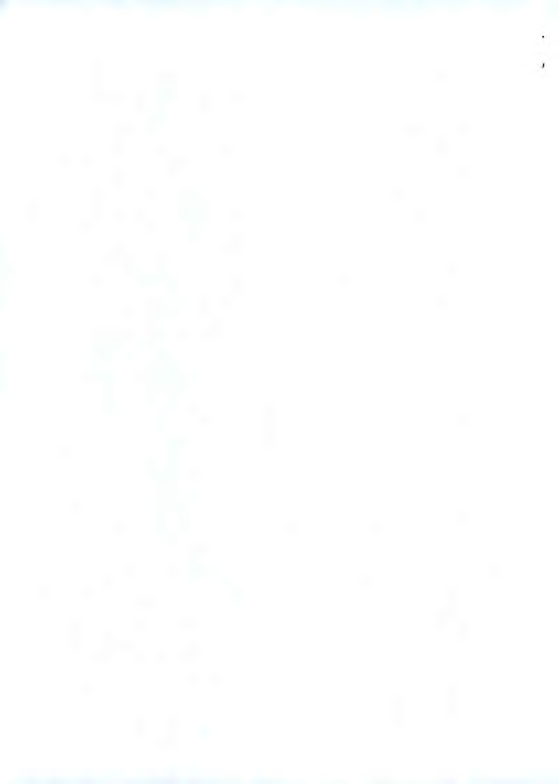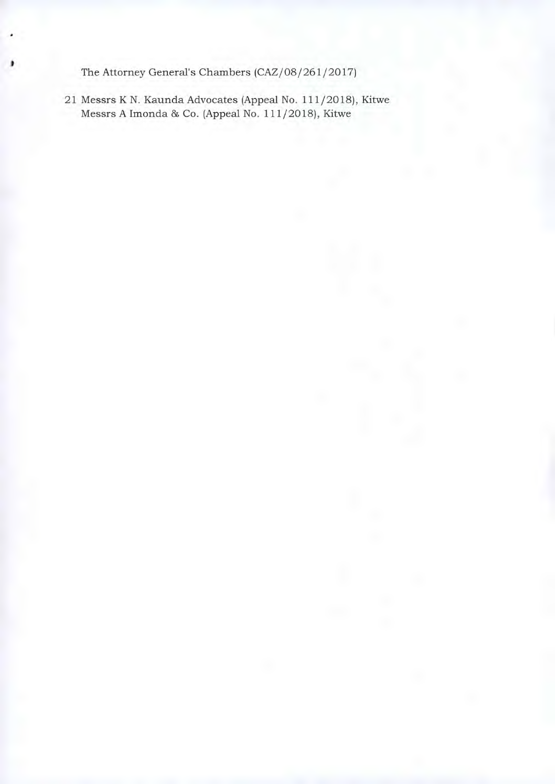The Attorney General's Chambers (CAZ/08/261/2017)

I

21 Messrs K N. Kaunda Advocates (Appeal No. 111/2018), Kitwe Messrs A Imonda & Co. (Appeal No. 111/2018), Kitwe